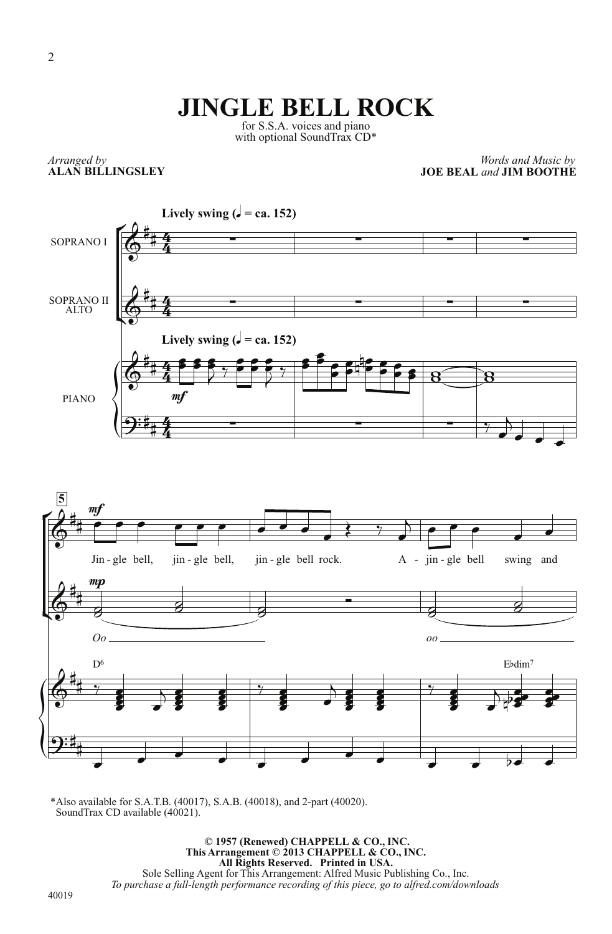## **JINGLE BELL ROCK**

for S.S.A. voices and piano with optional SoundTrax CD\*

*Arranged by* **ALAN BILLINGSLEY**

*Words and Music by* **JOE BEAL** *and* **JIM BOOTHE**





\*Also available for S.A.T.B. (40017), S.A.B. (40018), and 2-part (40020). SoundTrax CD available  $(40021)$ .

> **© 1957 (Renewed) CHAPPELL & CO., INC. This Arrangement © 2013 CHAPPELL & CO., INC. All Rights Reserved. Printed in USA.** Sole Selling Agent for This Arrangement: Alfred Music Publishing Co., Inc. *To purchase a full-length performance recording of this piece, go to alfred.com/downloads*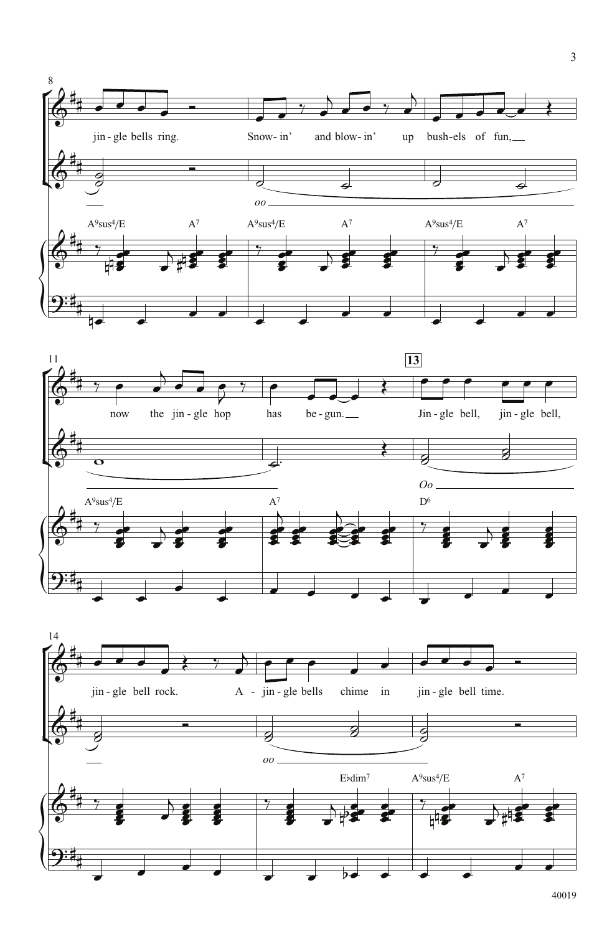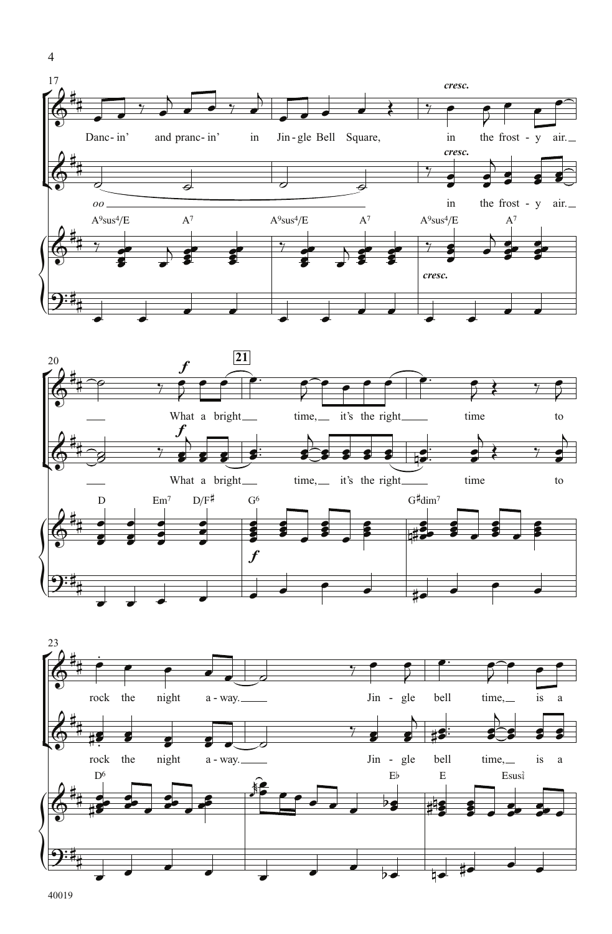



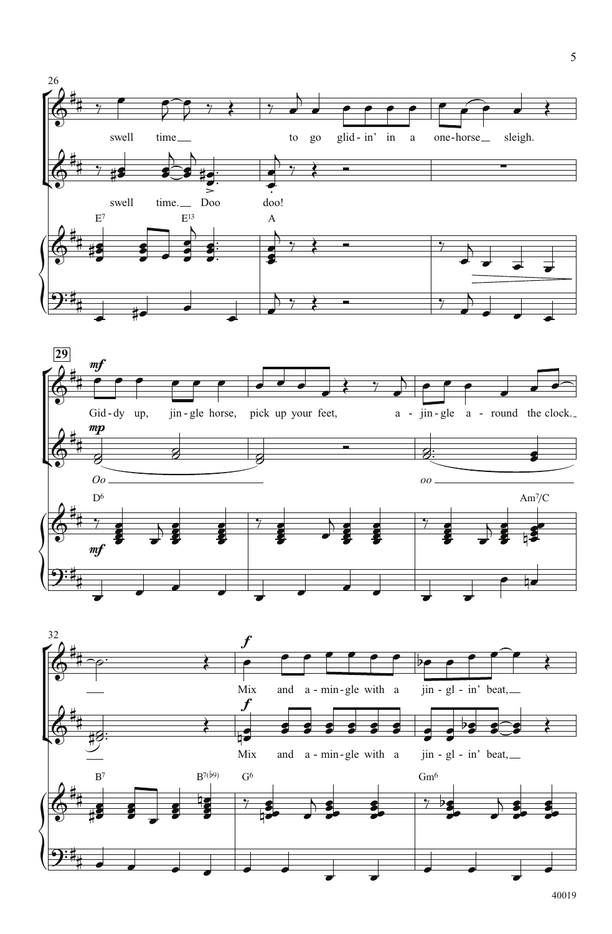



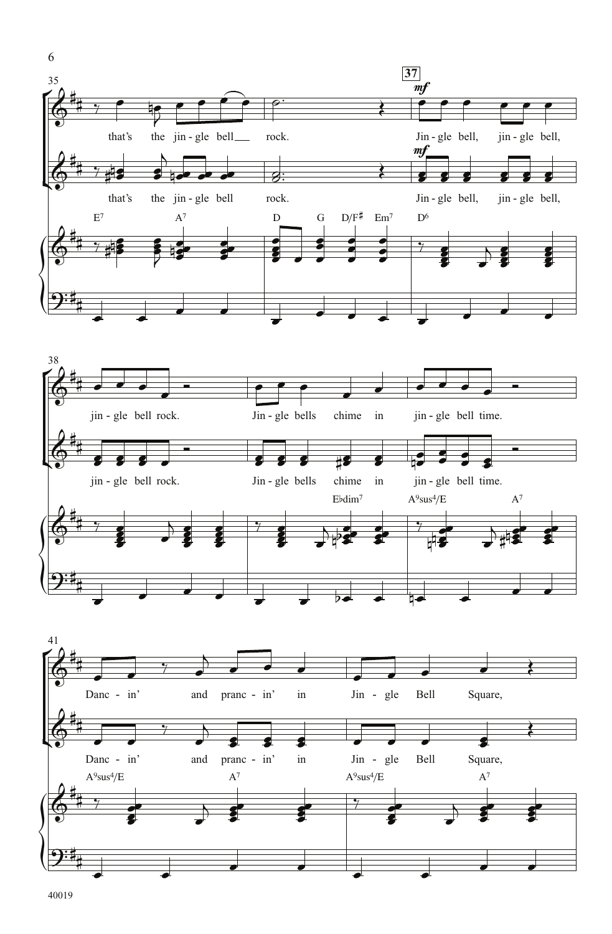![](_page_4_Figure_0.jpeg)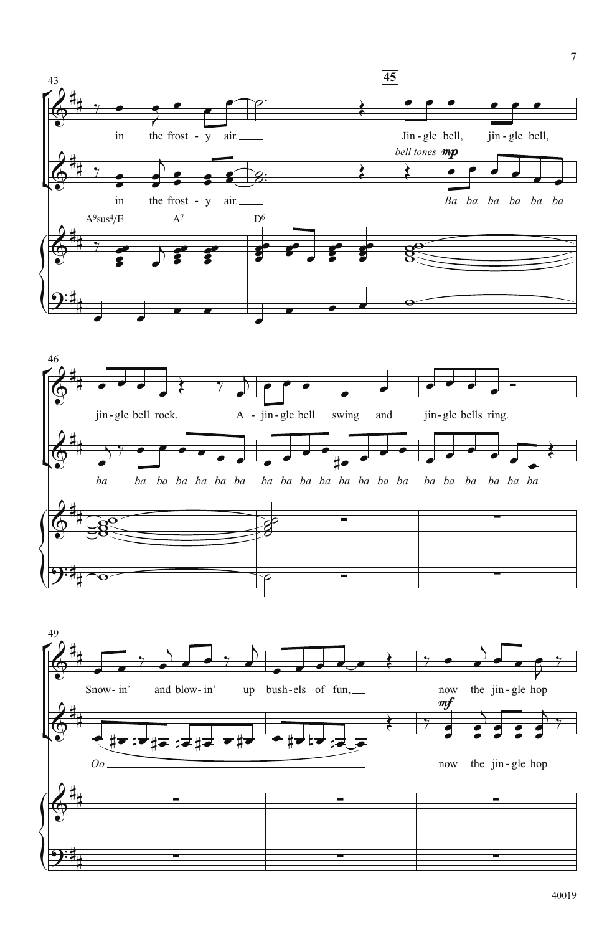![](_page_5_Figure_0.jpeg)

![](_page_5_Figure_1.jpeg)

![](_page_5_Figure_2.jpeg)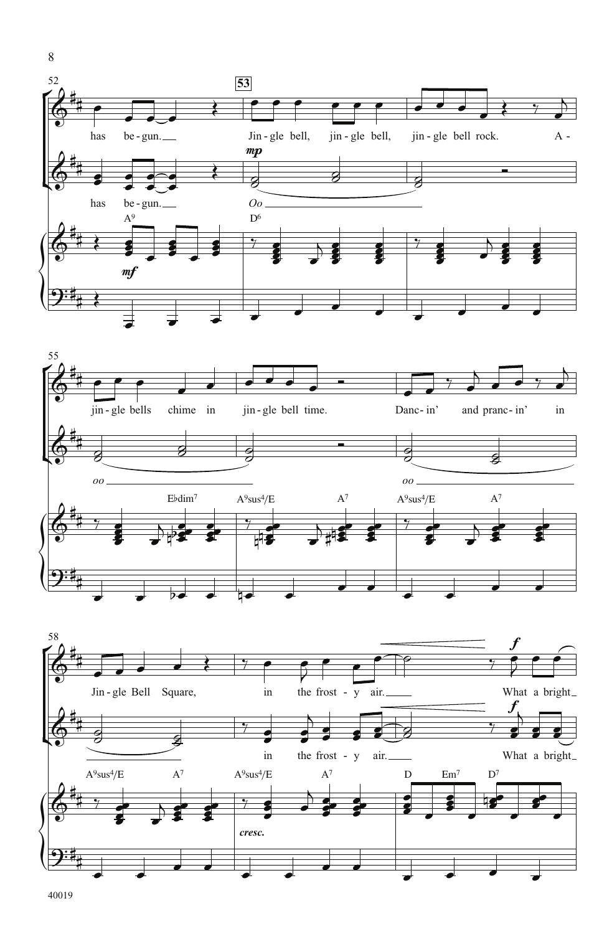![](_page_6_Figure_0.jpeg)

![](_page_6_Figure_1.jpeg)

![](_page_6_Figure_2.jpeg)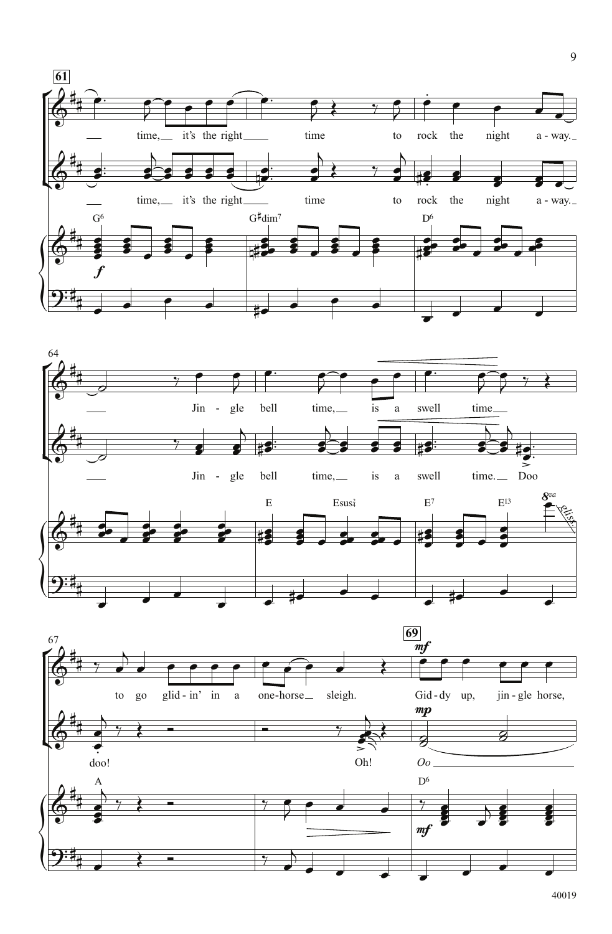![](_page_7_Figure_0.jpeg)

![](_page_7_Figure_1.jpeg)

![](_page_7_Figure_2.jpeg)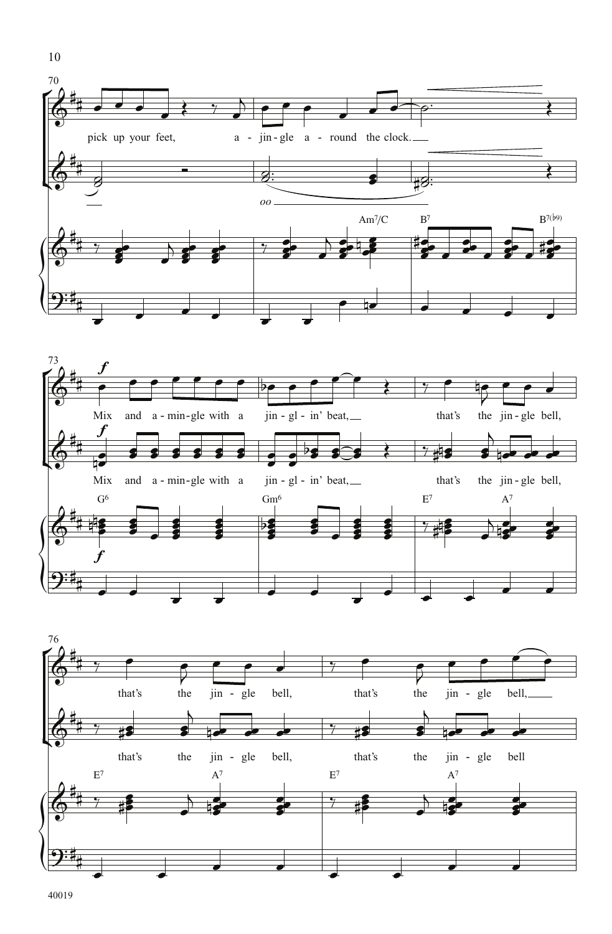![](_page_8_Figure_0.jpeg)

![](_page_8_Figure_1.jpeg)

![](_page_8_Figure_2.jpeg)